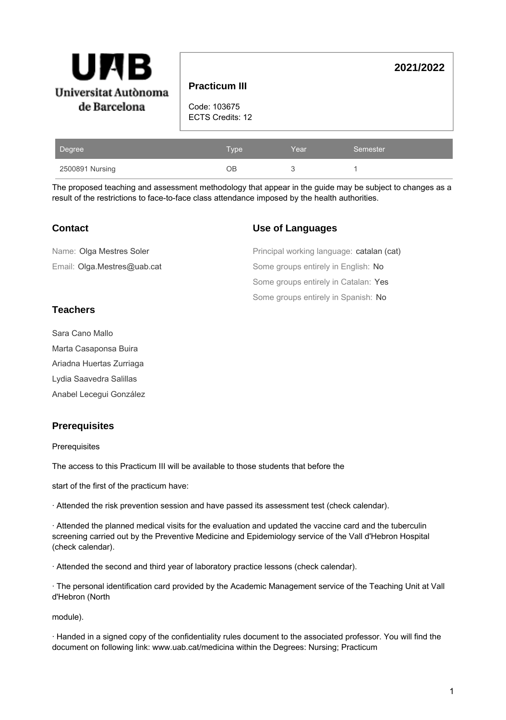| Β<br>AI<br>UI<br>Universitat Autònoma<br>de Barcelona | <b>Practicum III</b><br>Code: 103675<br>ECTS Credits: 12 |      |          | 2021/2022 |
|-------------------------------------------------------|----------------------------------------------------------|------|----------|-----------|
| Degree                                                | Type                                                     | Year | Semester |           |

The proposed teaching and assessment methodology that appear in the guide may be subject to changes as a result of the restrictions to face-to-face class attendance imposed by the health authorities.

## **Contact**

## **Use of Languages**

| Name: Olga Mestres Soler    | Principal working language: catalan (cat) |
|-----------------------------|-------------------------------------------|
| Email: Olga.Mestres@uab.cat | Some groups entirely in English: No       |
|                             | Some groups entirely in Catalan: Yes      |
|                             | Some groups entirely in Spanish: No       |

2500891 Nursing **2500891 Nursing 2500891 Nursing** 2500891 Nursing 2012

# **Teachers**

Sara Cano Mallo Marta Casaponsa Buira Ariadna Huertas Zurriaga Lydia Saavedra Salillas Anabel Lecegui González

## **Prerequisites**

**Prerequisites** 

The access to this Practicum III will be available to those students that before the

start of the first of the practicum have:

· Attended the risk prevention session and have passed its assessment test (check calendar).

· Attended the planned medical visits for the evaluation and updated the vaccine card and the tuberculin screening carried out by the Preventive Medicine and Epidemiology service of the Vall d'Hebron Hospital (check calendar).

· Attended the second and third year of laboratory practice lessons (check calendar).

· The personal identification card provided by the Academic Management service of the Teaching Unit at Vall d'Hebron (North

module).

· Handed in a signed copy of the confidentiality rules document to the associated professor. You will find the document on following link: www.uab.cat/medicina within the Degrees: Nursing; Practicum

1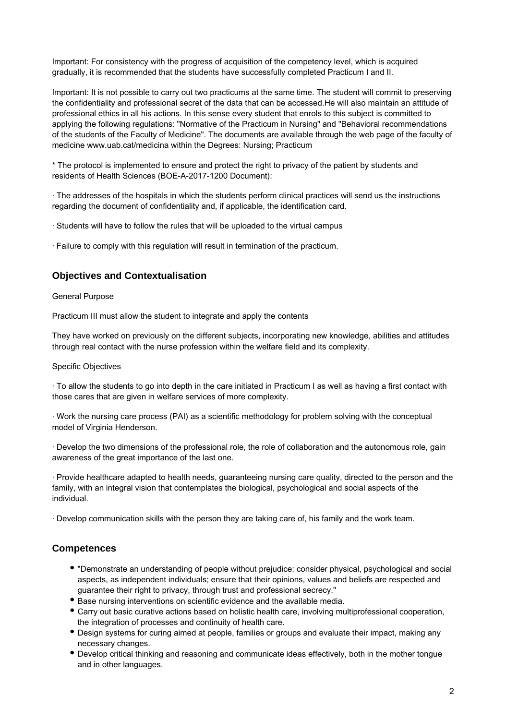Important: For consistency with the progress of acquisition of the competency level, which is acquired gradually, it is recommended that the students have successfully completed Practicum I and II.

Important: It is not possible to carry out two practicums at the same time. The student will commit to preserving the confidentiality and professional secret of the data that can be accessed.He will also maintain an attitude of professional ethics in all his actions. In this sense every student that enrols to this subject is committed to applying the following regulations: "Normative of the Practicum in Nursing" and "Behavioral recommendations of the students of the Faculty of Medicine". The documents are available through the web page of the faculty of medicine www.uab.cat/medicina within the Degrees: Nursing; Practicum

\* The protocol is implemented to ensure and protect the right to privacy of the patient by students and residents of Health Sciences (BOE-A-2017-1200 Document):

· The addresses of the hospitals in which the students perform clinical practices will send us the instructions regarding the document of confidentiality and, if applicable, the identification card.

· Students will have to follow the rules that will be uploaded to the virtual campus

· Failure to comply with this regulation will result in termination of the practicum.

## **Objectives and Contextualisation**

#### General Purpose

Practicum III must allow the student to integrate and apply the contents

They have worked on previously on the different subjects, incorporating new knowledge, abilities and attitudes through real contact with the nurse profession within the welfare field and its complexity.

#### Specific Objectives

· To allow the students to go into depth in the care initiated in Practicum I as well as having a first contact with those cares that are given in welfare services of more complexity.

· Work the nursing care process (PAI) as a scientific methodology for problem solving with the conceptual model of Virginia Henderson.

· Develop the two dimensions of the professional role, the role of collaboration and the autonomous role, gain awareness of the great importance of the last one.

· Provide healthcare adapted to health needs, guaranteeing nursing care quality, directed to the person and the family, with an integral vision that contemplates the biological, psychological and social aspects of the individual.

· Develop communication skills with the person they are taking care of, his family and the work team.

#### **Competences**

- "Demonstrate an understanding of people without prejudice: consider physical, psychological and social aspects, as independent individuals; ensure that their opinions, values and beliefs are respected and guarantee their right to privacy, through trust and professional secrecy."
- Base nursing interventions on scientific evidence and the available media.
- Carry out basic curative actions based on holistic health care, involving multiprofessional cooperation, the integration of processes and continuity of health care.
- Design systems for curing aimed at people, families or groups and evaluate their impact, making any necessary changes.
- Develop critical thinking and reasoning and communicate ideas effectively, both in the mother tongue and in other languages.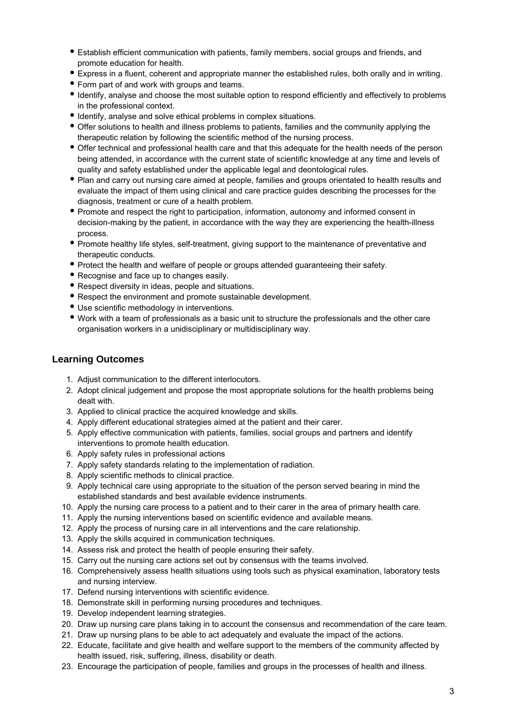- Establish efficient communication with patients, family members, social groups and friends, and promote education for health.
- Express in a fluent, coherent and appropriate manner the established rules, both orally and in writing.
- Form part of and work with groups and teams.
- $\bullet$  Identify, analyse and choose the most suitable option to respond efficiently and effectively to problems in the professional context.
- Identify, analyse and solve ethical problems in complex situations.
- Offer solutions to health and illness problems to patients, families and the community applying the therapeutic relation by following the scientific method of the nursing process.
- Offer technical and professional health care and that this adequate for the health needs of the person being attended, in accordance with the current state of scientific knowledge at any time and levels of quality and safety established under the applicable legal and deontological rules.
- Plan and carry out nursing care aimed at people, families and groups orientated to health results and evaluate the impact of them using clinical and care practice guides describing the processes for the diagnosis, treatment or cure of a health problem.
- Promote and respect the right to participation, information, autonomy and informed consent in decision-making by the patient, in accordance with the way they are experiencing the health-illness process.
- Promote healthy life styles, self-treatment, giving support to the maintenance of preventative and therapeutic conducts.
- Protect the health and welfare of people or groups attended guaranteeing their safety.
- Recognise and face up to changes easily.
- Respect diversity in ideas, people and situations.
- Respect the environment and promote sustainable development.
- Use scientific methodology in interventions.
- Work with a team of professionals as a basic unit to structure the professionals and the other care organisation workers in a unidisciplinary or multidisciplinary way.

### **Learning Outcomes**

- 1. Adjust communication to the different interlocutors.
- 2. Adopt clinical judgement and propose the most appropriate solutions for the health problems being dealt with.
- 3. Applied to clinical practice the acquired knowledge and skills.
- 4. Apply different educational strategies aimed at the patient and their carer.
- 5. Apply effective communication with patients, families, social groups and partners and identify interventions to promote health education.
- 6. Apply safety rules in professional actions
- 7. Apply safety standards relating to the implementation of radiation.
- 8. Apply scientific methods to clinical practice.
- 9. Apply technical care using appropriate to the situation of the person served bearing in mind the established standards and best available evidence instruments.
- 10. Apply the nursing care process to a patient and to their carer in the area of primary health care.
- 11. Apply the nursing interventions based on scientific evidence and available means.
- 12. Apply the process of nursing care in all interventions and the care relationship.
- 13. Apply the skills acquired in communication techniques.
- 14. Assess risk and protect the health of people ensuring their safety.
- 15. Carry out the nursing care actions set out by consensus with the teams involved.
- 16. Comprehensively assess health situations using tools such as physical examination, laboratory tests and nursing interview.
- 17. Defend nursing interventions with scientific evidence.
- 18. Demonstrate skill in performing nursing procedures and techniques.
- 19. Develop independent learning strategies.
- 20. Draw up nursing care plans taking in to account the consensus and recommendation of the care team.
- 21. Draw up nursing plans to be able to act adequately and evaluate the impact of the actions.
- 22. Educate, facilitate and give health and welfare support to the members of the community affected by health issued, risk, suffering, illness, disability or death.
- 23. Encourage the participation of people, families and groups in the processes of health and illness.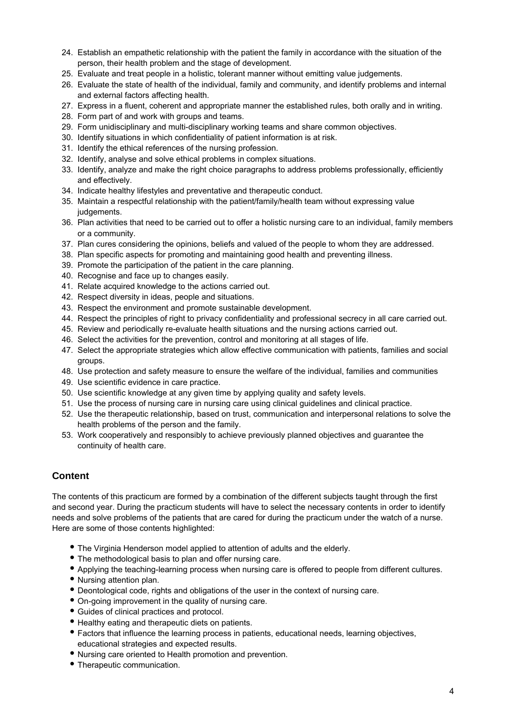- 24. Establish an empathetic relationship with the patient the family in accordance with the situation of the person, their health problem and the stage of development.
- 25. Evaluate and treat people in a holistic, tolerant manner without emitting value judgements.
- 26. Evaluate the state of health of the individual, family and community, and identify problems and internal and external factors affecting health.
- 27. Express in a fluent, coherent and appropriate manner the established rules, both orally and in writing.
- 28. Form part of and work with groups and teams.
- 29. Form unidisciplinary and multi-disciplinary working teams and share common objectives.
- 30. Identify situations in which confidentiality of patient information is at risk.
- 31. Identify the ethical references of the nursing profession.
- 32. Identify, analyse and solve ethical problems in complex situations.
- 33. Identify, analyze and make the right choice paragraphs to address problems professionally, efficiently and effectively.
- 34. Indicate healthy lifestyles and preventative and therapeutic conduct.
- 35. Maintain a respectful relationship with the patient/family/health team without expressing value judgements.
- 36. Plan activities that need to be carried out to offer a holistic nursing care to an individual, family members or a community.
- 37. Plan cures considering the opinions, beliefs and valued of the people to whom they are addressed.
- 38. Plan specific aspects for promoting and maintaining good health and preventing illness.
- 39. Promote the participation of the patient in the care planning.
- 40. Recognise and face up to changes easily.
- 41. Relate acquired knowledge to the actions carried out.
- 42. Respect diversity in ideas, people and situations.
- 43. Respect the environment and promote sustainable development.
- 44. Respect the principles of right to privacy confidentiality and professional secrecy in all care carried out.
- 45. Review and periodically re-evaluate health situations and the nursing actions carried out.
- 46. Select the activities for the prevention, control and monitoring at all stages of life.
- 47. Select the appropriate strategies which allow effective communication with patients, families and social groups.
- 48. Use protection and safety measure to ensure the welfare of the individual, families and communities
- 49. Use scientific evidence in care practice.
- 50. Use scientific knowledge at any given time by applying quality and safety levels.
- 51. Use the process of nursing care in nursing care using clinical guidelines and clinical practice.
- 52. Use the therapeutic relationship, based on trust, communication and interpersonal relations to solve the health problems of the person and the family.
- 53. Work cooperatively and responsibly to achieve previously planned objectives and guarantee the continuity of health care.

# **Content**

The contents of this practicum are formed by a combination of the different subjects taught through the first and second year. During the practicum students will have to select the necessary contents in order to identify needs and solve problems of the patients that are cared for during the practicum under the watch of a nurse. Here are some of those contents highlighted:

- The Virginia Henderson model applied to attention of adults and the elderly.
- The methodological basis to plan and offer nursing care.
- Applying the teaching-learning process when nursing care is offered to people from different cultures.
- Nursing attention plan.
- Deontological code, rights and obligations of the user in the context of nursing care.
- On-going improvement in the quality of nursing care.
- Guides of clinical practices and protocol.
- Healthy eating and therapeutic diets on patients.
- Factors that influence the learning process in patients, educational needs, learning objectives, educational strategies and expected results.
- Nursing care oriented to Health promotion and prevention.
- Therapeutic communication.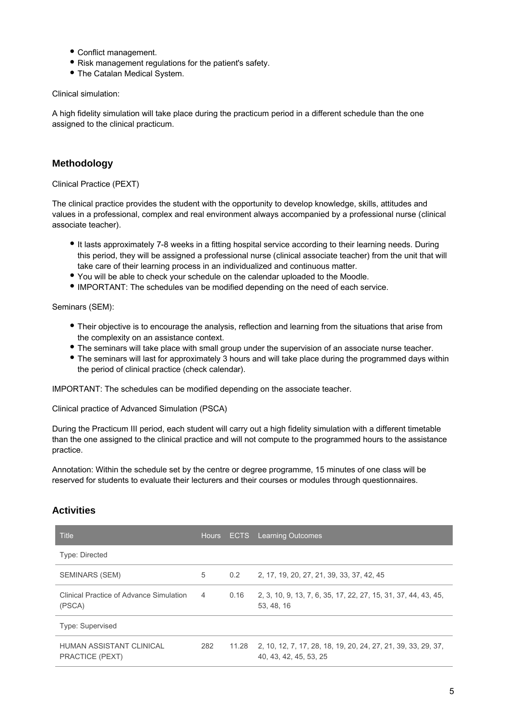- Conflict management.
- Risk management regulations for the patient's safety.
- The Catalan Medical System.

Clinical simulation:

A high fidelity simulation will take place during the practicum period in a different schedule than the one assigned to the clinical practicum.

## **Methodology**

Clinical Practice (PEXT)

The clinical practice provides the student with the opportunity to develop knowledge, skills, attitudes and values in a professional, complex and real environment always accompanied by a professional nurse (clinical associate teacher).

- It lasts approximately 7-8 weeks in a fitting hospital service according to their learning needs. During this period, they will be assigned a professional nurse (clinical associate teacher) from the unit that will take care of their learning process in an individualized and continuous matter.
- You will be able to check your schedule on the calendar uploaded to the Moodle.
- IMPORTANT: The schedules van be modified depending on the need of each service.

Seminars (SEM):

- Their objective is to encourage the analysis, reflection and learning from the situations that arise from the complexity on an assistance context.
- The seminars will take place with small group under the supervision of an associate nurse teacher.
- The seminars will last for approximately 3 hours and will take place during the programmed days within the period of clinical practice (check calendar).

IMPORTANT: The schedules can be modified depending on the associate teacher.

Clinical practice of Advanced Simulation (PSCA)

During the Practicum III period, each student will carry out a high fidelity simulation with a different timetable than the one assigned to the clinical practice and will not compute to the programmed hours to the assistance practice.

Annotation: Within the schedule set by the centre or degree programme, 15 minutes of one class will be reserved for students to evaluate their lecturers and their courses or modules through questionnaires.

## **Activities**

| <b>Title</b>                                      |                | Hours ECTS | <b>Learning Outcomes</b>                                                                |
|---------------------------------------------------|----------------|------------|-----------------------------------------------------------------------------------------|
| Type: Directed                                    |                |            |                                                                                         |
| SEMINARS (SEM)                                    | 5              | 0.2        | 2, 17, 19, 20, 27, 21, 39, 33, 37, 42, 45                                               |
| Clinical Practice of Advance Simulation<br>(PSCA) | $\overline{4}$ | 0.16       | 2, 3, 10, 9, 13, 7, 6, 35, 17, 22, 27, 15, 31, 37, 44, 43, 45,<br>53, 48, 16            |
| Type: Supervised                                  |                |            |                                                                                         |
| HUMAN ASSISTANT CLINICAL<br>PRACTICE (PEXT)       | 282            | 11.28      | 2, 10, 12, 7, 17, 28, 18, 19, 20, 24, 27, 21, 39, 33, 29, 37,<br>40, 43, 42, 45, 53, 25 |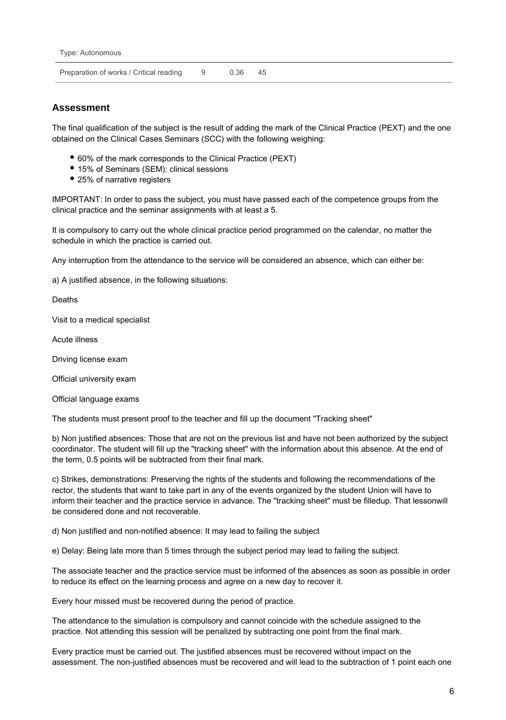Preparation of works / Critical reading 9 0.36 45

## **Assessment**

The final qualification of the subject is the result of adding the mark of the Clinical Practice (PEXT) and the one obtained on the Clinical Cases Seminars (SCC) with the following weighing:

- 60% of the mark corresponds to the Clinical Practice (PEXT)
- 15% of Seminars (SEM): clinical sessions
- 25% of narrative registers

IMPORTANT: In order to pass the subject, you must have passed each of the competence groups from the clinical practice and the seminar assignments with at least a 5.

It is compulsory to carry out the whole clinical practice period programmed on the calendar, no matter the schedule in which the practice is carried out.

Any interruption from the attendance to the service will be considered an absence, which can either be:

a) A justified absence, in the following situations:

Deaths

Visit to a medical specialist

Acute illness

Driving license exam

Official university exam

Official language exams

The students must present proof to the teacher and fill up the document "Tracking sheet"

b) Non justified absences: Those that are not on the previous list and have not been authorized by the subject coordinator. The student will fill up the "tracking sheet" with the information about this absence. At the end of the term, 0.5 points will be subtracted from their final mark.

c) Strikes, demonstrations: Preserving the rights of the students and following the recommendations of the rector, the students that want to take part in any of the events organized by the student Union will have to inform their teacher and the practice service in advance. The "tracking sheet" must be filledup. That lessonwill be considered done and not recoverable.

d) Non justified and non-notified absence: It may lead to failing the subject

e) Delay: Being late more than 5 times through the subject period may lead to failing the subject.

The associate teacher and the practice service must be informed of the absences as soon as possible in order to reduce its effect on the learning process and agree on a new day to recover it.

Every hour missed must be recovered during the period of practice.

The attendance to the simulation is compulsory and cannot coincide with the schedule assigned to the practice. Not attending this session will be penalized by subtracting one point from the final mark.

Every practice must be carried out. The justified absences must be recovered without impact on the assessment. The non-justified absences must be recovered and will lead to the subtraction of 1 point each one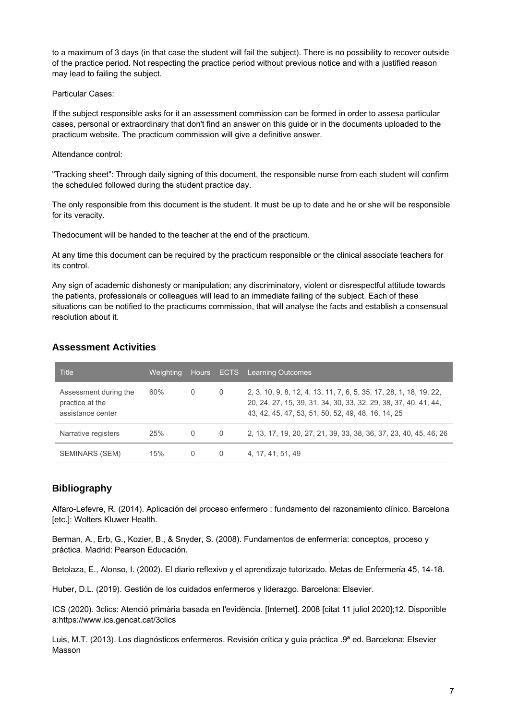to a maximum of 3 days (in that case the student will fail the subject). There is no possibility to recover outside of the practice period. Not respecting the practice period without previous notice and with a justified reason may lead to failing the subject.

#### Particular Cases:

If the subject responsible asks for it an assessment commission can be formed in order to assesa particular cases, personal or extraordinary that don't find an answer on this guide or in the documents uploaded to the practicum website. The practicum commission will give a definitive answer.

#### Attendance control:

"Tracking sheet": Through daily signing of this document, the responsible nurse from each student will confirm the scheduled followed during the student practice day.

The only responsible from this document is the student. It must be up to date and he or she will be responsible for its veracity.

Thedocument will be handed to the teacher at the end of the practicum.

At any time this document can be required by the practicum responsible or the clinical associate teachers for its control.

Any sign of academic dishonesty or manipulation; any discriminatory, violent or disrespectful attitude towards the patients, professionals or colleagues will lead to an immediate failing of the subject. Each of these situations can be notified to the practicums commission, that will analyse the facts and establish a consensual resolution about it.

# **Assessment Activities**

| <b>Title</b>                                                  | Weighting, |          | Hours ECTS | <b>Learning Outcomes</b>                                                                                                                                                                    |
|---------------------------------------------------------------|------------|----------|------------|---------------------------------------------------------------------------------------------------------------------------------------------------------------------------------------------|
| Assessment during the<br>practice at the<br>assistance center | $60\%$     | 0        | 0          | 2, 3, 10, 9, 8, 12, 4, 13, 11, 7, 6, 5, 35, 17, 28, 1, 18, 19, 22,<br>20, 24, 27, 15, 39, 31, 34, 30, 33, 32, 29, 38, 37, 40, 41, 44,<br>43, 42, 45, 47, 53, 51, 50, 52, 49, 48, 16, 14, 25 |
| Narrative registers                                           | 25%        | $\Omega$ | $\Omega$   | 2, 13, 17, 19, 20, 27, 21, 39, 33, 38, 36, 37, 23, 40, 45, 46, 26                                                                                                                           |
| SEMINARS (SEM)                                                | 15%        | 0        | $\Omega$   | 4, 17, 41, 51, 49                                                                                                                                                                           |

# **Bibliography**

Alfaro-Lefevre, R. (2014). Aplicación del proceso enfermero : fundamento del razonamiento clínico. Barcelona [etc.]: Wolters Kluwer Health.

Berman, A., Erb, G., Kozier, B., & Snyder, S. (2008). Fundamentos de enfermería: conceptos, proceso y práctica. Madrid: Pearson Educación.

Betolaza, E., Alonso, I. (2002). El diario reflexivo y el aprendizaje tutorizado. Metas de Enfermería 45, 14-18.

Huber, D.L. (2019). Gestión de los cuidados enfermeros y liderazgo. Barcelona: Elsevier.

ICS (2020). 3clics: Atenció primària basada en l'evidència. [Internet]. 2008 [citat 11 juliol 2020];12. Disponible a:https://www.ics.gencat.cat/3clics

Luis, M.T. (2013). Los diagnósticos enfermeros. Revisión crítica y guía práctica .9ª ed. Barcelona: Elsevier Masson